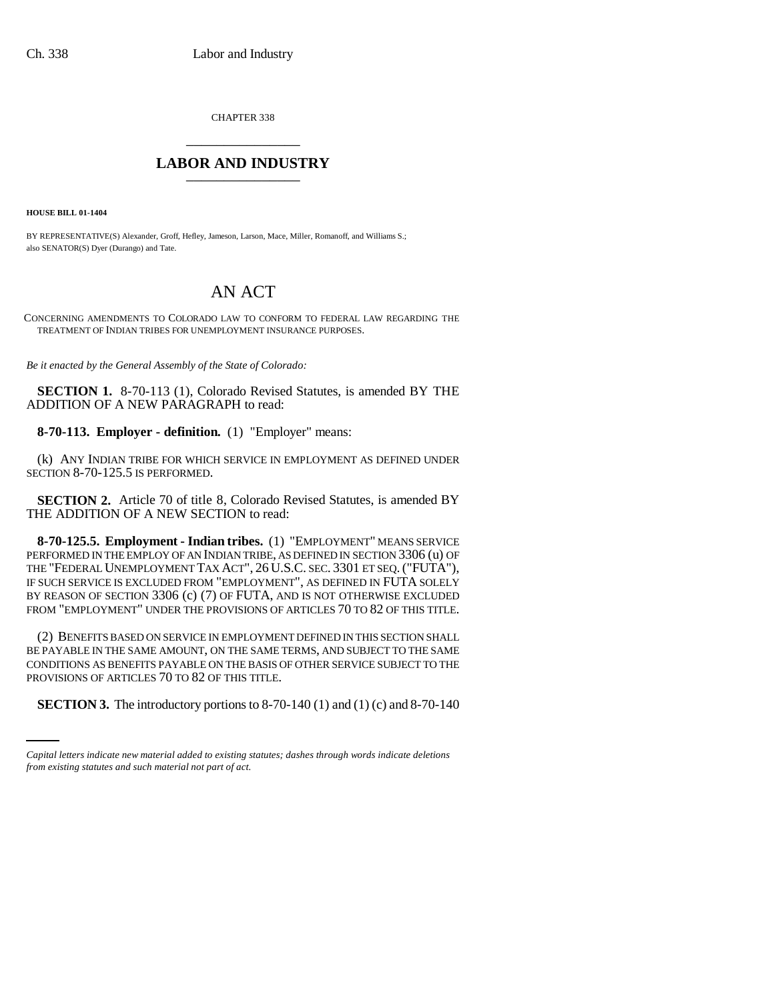CHAPTER 338 \_\_\_\_\_\_\_\_\_\_\_\_\_\_\_

## **LABOR AND INDUSTRY** \_\_\_\_\_\_\_\_\_\_\_\_\_\_\_

**HOUSE BILL 01-1404**

BY REPRESENTATIVE(S) Alexander, Groff, Hefley, Jameson, Larson, Mace, Miller, Romanoff, and Williams S.; also SENATOR(S) Dyer (Durango) and Tate.

## AN ACT

CONCERNING AMENDMENTS TO COLORADO LAW TO CONFORM TO FEDERAL LAW REGARDING THE TREATMENT OF INDIAN TRIBES FOR UNEMPLOYMENT INSURANCE PURPOSES.

*Be it enacted by the General Assembly of the State of Colorado:*

**SECTION 1.** 8-70-113 (1), Colorado Revised Statutes, is amended BY THE ADDITION OF A NEW PARAGRAPH to read:

**8-70-113. Employer - definition.** (1) "Employer" means:

(k) ANY INDIAN TRIBE FOR WHICH SERVICE IN EMPLOYMENT AS DEFINED UNDER SECTION 8-70-125.5 IS PERFORMED.

**SECTION 2.** Article 70 of title 8, Colorado Revised Statutes, is amended BY THE ADDITION OF A NEW SECTION to read:

**8-70-125.5. Employment - Indian tribes.** (1) "EMPLOYMENT" MEANS SERVICE PERFORMED IN THE EMPLOY OF AN INDIAN TRIBE, AS DEFINED IN SECTION 3306 (u) OF THE "FEDERAL UNEMPLOYMENT TAX ACT", 26 U.S.C. SEC. 3301 ET SEQ.("FUTA"), IF SUCH SERVICE IS EXCLUDED FROM "EMPLOYMENT", AS DEFINED IN FUTA SOLELY BY REASON OF SECTION 3306 (c) (7) OF FUTA, AND IS NOT OTHERWISE EXCLUDED FROM "EMPLOYMENT" UNDER THE PROVISIONS OF ARTICLES 70 TO 82 OF THIS TITLE.

PROVISIONS OF ARTICLES 70 TO 82 OF THIS TITLE. (2) BENEFITS BASED ON SERVICE IN EMPLOYMENT DEFINED IN THIS SECTION SHALL BE PAYABLE IN THE SAME AMOUNT, ON THE SAME TERMS, AND SUBJECT TO THE SAME CONDITIONS AS BENEFITS PAYABLE ON THE BASIS OF OTHER SERVICE SUBJECT TO THE

**SECTION 3.** The introductory portions to 8-70-140 (1) and (1) (c) and 8-70-140

*Capital letters indicate new material added to existing statutes; dashes through words indicate deletions from existing statutes and such material not part of act.*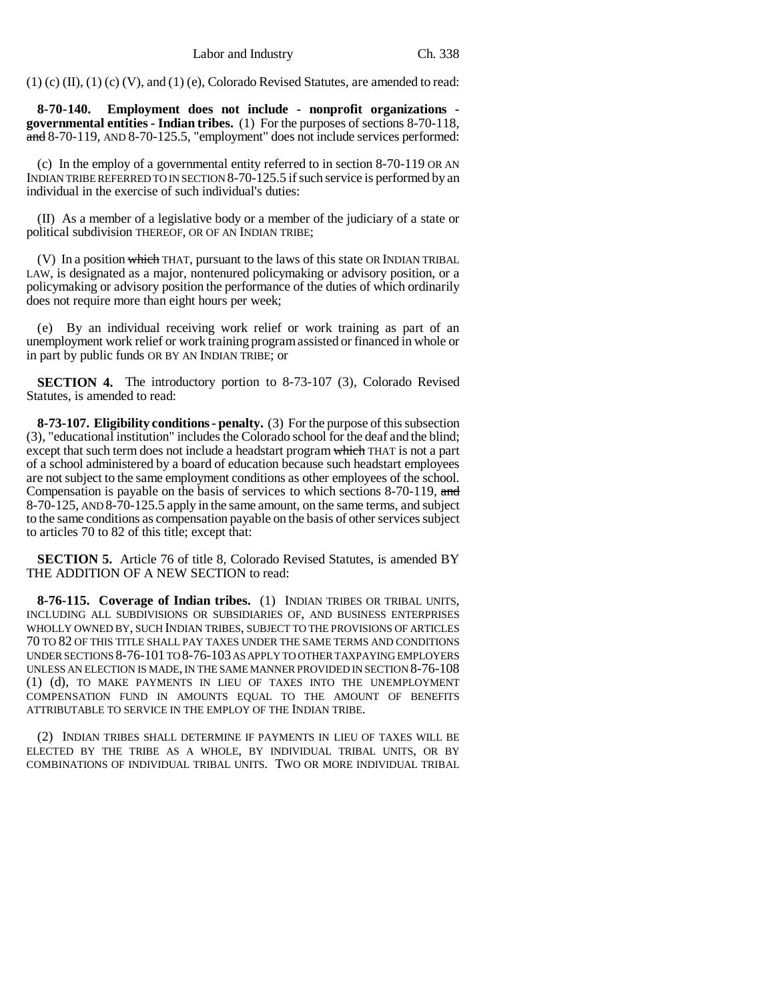$(1)$  (c)  $(II)$ ,  $(1)$  (c)  $(V)$ , and  $(1)$  (e), Colorado Revised Statutes, are amended to read:

**8-70-140. Employment does not include - nonprofit organizations governmental entities - Indian tribes.** (1) For the purposes of sections 8-70-118, and 8-70-119, AND 8-70-125.5, "employment" does not include services performed:

(c) In the employ of a governmental entity referred to in section 8-70-119 OR AN INDIAN TRIBE REFERRED TO IN SECTION 8-70-125.5 if such service is performed by an individual in the exercise of such individual's duties:

(II) As a member of a legislative body or a member of the judiciary of a state or political subdivision THEREOF, OR OF AN INDIAN TRIBE;

(V) In a position which THAT, pursuant to the laws of this state OR INDIAN TRIBAL LAW, is designated as a major, nontenured policymaking or advisory position, or a policymaking or advisory position the performance of the duties of which ordinarily does not require more than eight hours per week;

(e) By an individual receiving work relief or work training as part of an unemployment work relief or work training program assisted or financed in whole or in part by public funds OR BY AN INDIAN TRIBE; or

**SECTION 4.** The introductory portion to 8-73-107 (3), Colorado Revised Statutes, is amended to read:

**8-73-107. Eligibility conditions - penalty.** (3) For the purpose of this subsection (3), "educational institution" includes the Colorado school for the deaf and the blind; except that such term does not include a headstart program which THAT is not a part of a school administered by a board of education because such headstart employees are not subject to the same employment conditions as other employees of the school. Compensation is payable on the basis of services to which sections 8-70-119, and 8-70-125, AND 8-70-125.5 apply in the same amount, on the same terms, and subject to the same conditions as compensation payable on the basis of other services subject to articles 70 to 82 of this title; except that:

**SECTION 5.** Article 76 of title 8, Colorado Revised Statutes, is amended BY THE ADDITION OF A NEW SECTION to read:

**8-76-115. Coverage of Indian tribes.** (1) INDIAN TRIBES OR TRIBAL UNITS, INCLUDING ALL SUBDIVISIONS OR SUBSIDIARIES OF, AND BUSINESS ENTERPRISES WHOLLY OWNED BY, SUCH INDIAN TRIBES, SUBJECT TO THE PROVISIONS OF ARTICLES 70 TO 82 OF THIS TITLE SHALL PAY TAXES UNDER THE SAME TERMS AND CONDITIONS UNDER SECTIONS 8-76-101 TO 8-76-103 AS APPLY TO OTHER TAXPAYING EMPLOYERS UNLESS AN ELECTION IS MADE, IN THE SAME MANNER PROVIDED IN SECTION 8-76-108 (1) (d), TO MAKE PAYMENTS IN LIEU OF TAXES INTO THE UNEMPLOYMENT COMPENSATION FUND IN AMOUNTS EQUAL TO THE AMOUNT OF BENEFITS ATTRIBUTABLE TO SERVICE IN THE EMPLOY OF THE INDIAN TRIBE.

(2) INDIAN TRIBES SHALL DETERMINE IF PAYMENTS IN LIEU OF TAXES WILL BE ELECTED BY THE TRIBE AS A WHOLE, BY INDIVIDUAL TRIBAL UNITS, OR BY COMBINATIONS OF INDIVIDUAL TRIBAL UNITS. TWO OR MORE INDIVIDUAL TRIBAL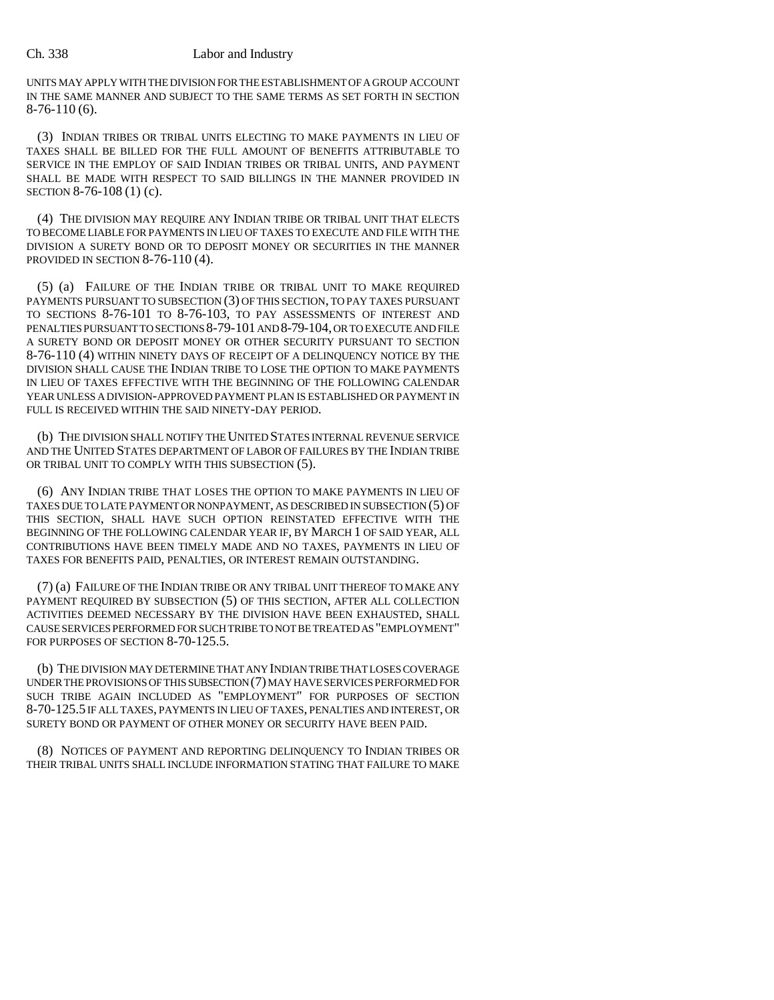## Ch. 338 Labor and Industry

UNITS MAY APPLY WITH THE DIVISION FOR THE ESTABLISHMENT OF A GROUP ACCOUNT IN THE SAME MANNER AND SUBJECT TO THE SAME TERMS AS SET FORTH IN SECTION 8-76-110 (6).

(3) INDIAN TRIBES OR TRIBAL UNITS ELECTING TO MAKE PAYMENTS IN LIEU OF TAXES SHALL BE BILLED FOR THE FULL AMOUNT OF BENEFITS ATTRIBUTABLE TO SERVICE IN THE EMPLOY OF SAID INDIAN TRIBES OR TRIBAL UNITS, AND PAYMENT SHALL BE MADE WITH RESPECT TO SAID BILLINGS IN THE MANNER PROVIDED IN SECTION 8-76-108 (1) (c).

(4) THE DIVISION MAY REQUIRE ANY INDIAN TRIBE OR TRIBAL UNIT THAT ELECTS TO BECOME LIABLE FOR PAYMENTS IN LIEU OF TAXES TO EXECUTE AND FILE WITH THE DIVISION A SURETY BOND OR TO DEPOSIT MONEY OR SECURITIES IN THE MANNER PROVIDED IN SECTION 8-76-110 (4).

(5) (a) FAILURE OF THE INDIAN TRIBE OR TRIBAL UNIT TO MAKE REQUIRED PAYMENTS PURSUANT TO SUBSECTION (3) OF THIS SECTION, TO PAY TAXES PURSUANT TO SECTIONS 8-76-101 TO 8-76-103, TO PAY ASSESSMENTS OF INTEREST AND PENALTIES PURSUANT TO SECTIONS 8-79-101 AND 8-79-104, OR TO EXECUTE AND FILE A SURETY BOND OR DEPOSIT MONEY OR OTHER SECURITY PURSUANT TO SECTION 8-76-110 (4) WITHIN NINETY DAYS OF RECEIPT OF A DELINQUENCY NOTICE BY THE DIVISION SHALL CAUSE THE INDIAN TRIBE TO LOSE THE OPTION TO MAKE PAYMENTS IN LIEU OF TAXES EFFECTIVE WITH THE BEGINNING OF THE FOLLOWING CALENDAR YEAR UNLESS A DIVISION-APPROVED PAYMENT PLAN IS ESTABLISHED OR PAYMENT IN FULL IS RECEIVED WITHIN THE SAID NINETY-DAY PERIOD.

(b) THE DIVISION SHALL NOTIFY THE UNITED STATES INTERNAL REVENUE SERVICE AND THE UNITED STATES DEPARTMENT OF LABOR OF FAILURES BY THE INDIAN TRIBE OR TRIBAL UNIT TO COMPLY WITH THIS SUBSECTION (5).

(6) ANY INDIAN TRIBE THAT LOSES THE OPTION TO MAKE PAYMENTS IN LIEU OF TAXES DUE TO LATE PAYMENT OR NONPAYMENT, AS DESCRIBED IN SUBSECTION (5) OF THIS SECTION, SHALL HAVE SUCH OPTION REINSTATED EFFECTIVE WITH THE BEGINNING OF THE FOLLOWING CALENDAR YEAR IF, BY MARCH 1 OF SAID YEAR, ALL CONTRIBUTIONS HAVE BEEN TIMELY MADE AND NO TAXES, PAYMENTS IN LIEU OF TAXES FOR BENEFITS PAID, PENALTIES, OR INTEREST REMAIN OUTSTANDING.

(7) (a) FAILURE OF THE INDIAN TRIBE OR ANY TRIBAL UNIT THEREOF TO MAKE ANY PAYMENT REQUIRED BY SUBSECTION (5) OF THIS SECTION, AFTER ALL COLLECTION ACTIVITIES DEEMED NECESSARY BY THE DIVISION HAVE BEEN EXHAUSTED, SHALL CAUSE SERVICES PERFORMED FOR SUCH TRIBE TO NOT BE TREATED AS "EMPLOYMENT" FOR PURPOSES OF SECTION 8-70-125.5.

(b) THE DIVISION MAY DETERMINE THAT ANY INDIAN TRIBE THAT LOSES COVERAGE UNDER THE PROVISIONS OF THIS SUBSECTION (7) MAY HAVE SERVICES PERFORMED FOR SUCH TRIBE AGAIN INCLUDED AS "EMPLOYMENT" FOR PURPOSES OF SECTION 8-70-125.5 IF ALL TAXES, PAYMENTS IN LIEU OF TAXES, PENALTIES AND INTEREST, OR SURETY BOND OR PAYMENT OF OTHER MONEY OR SECURITY HAVE BEEN PAID.

(8) NOTICES OF PAYMENT AND REPORTING DELINQUENCY TO INDIAN TRIBES OR THEIR TRIBAL UNITS SHALL INCLUDE INFORMATION STATING THAT FAILURE TO MAKE